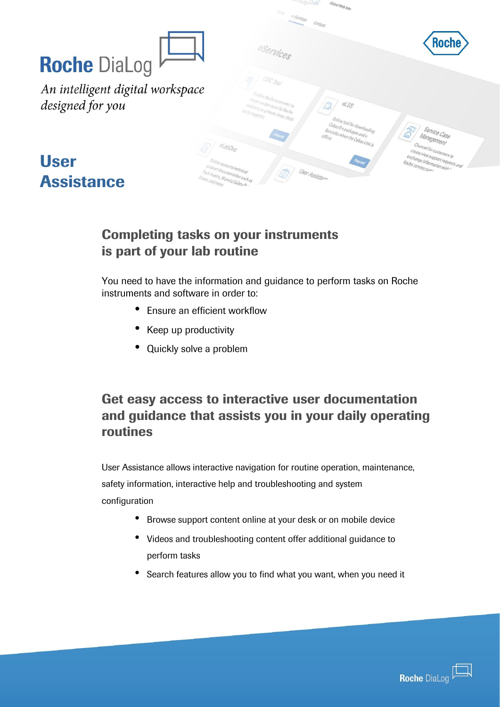|                                                         | $\sim$ of $\sim$<br>Global Web 38p<br>Home e-Semters Contacts                                                                                   |                                                                                            |
|---------------------------------------------------------|-------------------------------------------------------------------------------------------------------------------------------------------------|--------------------------------------------------------------------------------------------|
|                                                         | eservices                                                                                                                                       | <b>Roche</b>                                                                               |
| <b>Roche DiaLog</b><br>An intelligent digital workspace |                                                                                                                                                 |                                                                                            |
| designed for you                                        | and les Roche Customers to<br>create custom tests for Roche<br>$\mathscr{A}^\circ_{\mathcal{S},\mathcal{S}}$<br>analyses (e.g.Home brew, third. |                                                                                            |
|                                                         | Online tool for downloading<br>Cobas@epackages and e<br>Barcodes when the Cobas Link is                                                         | Service Case<br>Management                                                                 |
| <b>User</b>                                             | <sup>zaline</sup> access to technical<br>product documentation such as<br>User Assistan<br>Pack Inserty Material Safety A-                      | Channel for customers to<br>Ceate view support requests and<br>exchange information with 1 |
| <b>Assistance</b>                                       | Sheets and more                                                                                                                                 |                                                                                            |

#### Completing tasks on your instruments is part of your lab routine

You need to have the information and guidance to perform tasks on Roche instruments and software in order to:

- Ensure an efficient workflow
- Keep up productivity
- Quickly solve a problem

# Get easy access to interactive user documentation and guidance that assists you in your daily operating routines

User Assistance allows interactive navigation for routine operation, maintenance, safety information, interactive help and troubleshooting and system configuration

- Browse support content online at your desk or on mobile device
- Videos and troubleshooting content offer additional guidance to perform tasks extended on any where via mobile or desktop.
	- Search features allow you to find what you want, when you need it

*Customizable, scalable and adaptable to your unique needs*